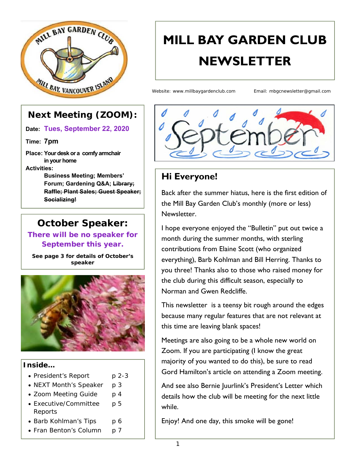

# **MILL BAY GARDEN CLUB NEWSLETTER**

Website: www.millbaygardenclub.com Email: mbgcnewsletter@gmail.com

#### **Next Meeting (ZOOM):**

**Date: Tues, September 22, 2020**

**Time: 7pm**

**Place: Your desk or a comfy armchair in your home Activities:** 

> **Business Meeting; Members' Forum; Gardening Q&A; Library; Raffle; Plant Sales; Guest Speaker; Socializing!**

#### **October Speaker:**

**There will be no speaker for September this year.** 

*See page 3 for details of October's speaker* 



#### **Inside…**

- President's Report p 2-3
- NEXT Month's Speaker p 3
- Zoom Meeting Guide p 4
- Executive/Committee p 5 Reports
- Barb Kohlman's Tips p 6
- Fran Benton's Column p 7



#### **Hi Everyone!**

Back after the summer hiatus, here is the first edition of the Mill Bay Garden Club's monthly (more or less) Newsletter.

I hope everyone enjoyed the "Bulletin" put out twice a month during the summer months, with sterling contributions from Elaine Scott (who organized everything), Barb Kohlman and Bill Herring. Thanks to you three! Thanks also to those who raised money for the club during this difficult season, especially to Norman and Gwen Redcliffe.

This newsletter is a teensy bit rough around the edges because many regular features that are not relevant at this time are leaving blank spaces!

Meetings are also going to be a whole new world on Zoom. If you are participating (I know the great majority of you wanted to do this), be sure to read Gord Hamilton's article on attending a Zoom meeting.

And see also Bernie Juurlink's President's Letter which details how the club will be meeting for the next little while.

Enjoy! And one day, this smoke will be gone!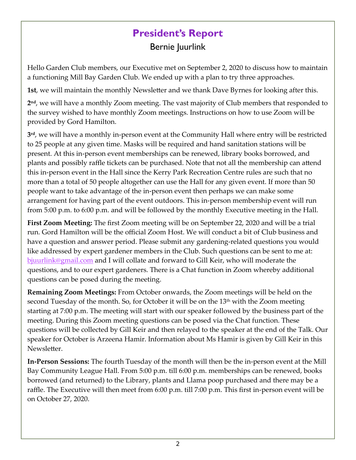### **President's Report**  Bernie Juurlink

Hello Garden Club members, our Executive met on September 2, 2020 to discuss how to maintain a functioning Mill Bay Garden Club. We ended up with a plan to try three approaches.

**1st**, we will maintain the monthly Newsletter and we thank Dave Byrnes for looking after this.

**2nd**, we will have a monthly Zoom meeting. The vast majority of Club members that responded to the survey wished to have monthly Zoom meetings. Instructions on how to use Zoom will be provided by Gord Hamilton.

**3rd**, we will have a monthly in‐person event at the Community Hall where entry will be restricted to 25 people at any given time. Masks will be required and hand sanitation stations will be present. At this in‐person event memberships can be renewed, library books borrowed, and plants and possibly raffle tickets can be purchased. Note that not all the membership can attend this in‐person event in the Hall since the Kerry Park Recreation Centre rules are such that no more than a total of 50 people altogether can use the Hall for any given event. If more than 50 people want to take advantage of the in‐person event then perhaps we can make some arrangement for having part of the event outdoors. This in‐person membership event will run from 5:00 p.m. to 6:00 p.m. and will be followed by the monthly Executive meeting in the Hall.

**First Zoom Meeting:** The first Zoom meeting will be on September 22, 2020 and will be a trial run. Gord Hamilton will be the official Zoom Host. We will conduct a bit of Club business and have a question and answer period. Please submit any gardening-related questions you would like addressed by expert gardener members in the Club. Such questions can be sent to me at: bjuurlink@gmail.com and I will collate and forward to Gill Keir, who will moderate the questions, and to our expert gardeners. There is a Chat function in Zoom whereby additional questions can be posed during the meeting.

**Remaining Zoom Meetings:** From October onwards, the Zoom meetings will be held on the second Tuesday of the month. So, for October it will be on the  $13<sup>th</sup>$  with the Zoom meeting starting at 7:00 p.m. The meeting will start with our speaker followed by the business part of the meeting. During this Zoom meeting questions can be posed via the Chat function. These questions will be collected by Gill Keir and then relayed to the speaker at the end of the Talk. Our speaker for October is Arzeena Hamir. Information about Ms Hamir is given by Gill Keir in this Newsletter.

**In‐Person Sessions:** The fourth Tuesday of the month will then be the in‐person event at the Mill Bay Community League Hall. From 5:00 p.m. till 6:00 p.m. memberships can be renewed, books borrowed (and returned) to the Library, plants and Llama poop purchased and there may be a raffle. The Executive will then meet from 6:00 p.m. till 7:00 p.m. This first in‐person event will be on October 27, 2020.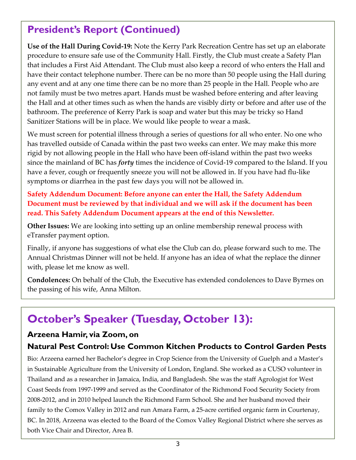### **President's Report (Continued)**

**Use of the Hall During Covid‐19:** Note the Kerry Park Recreation Centre has set up an elaborate procedure to ensure safe use of the Community Hall. Firstly, the Club must create a Safety Plan that includes a First Aid Attendant. The Club must also keep a record of who enters the Hall and have their contact telephone number. There can be no more than 50 people using the Hall during any event and at any one time there can be no more than 25 people in the Hall. People who are not family must be two metres apart. Hands must be washed before entering and after leaving the Hall and at other times such as when the hands are visibly dirty or before and after use of the bathroom. The preference of Kerry Park is soap and water but this may be tricky so Hand Sanitizer Stations will be in place. We would like people to wear a mask.

We must screen for potential illness through a series of questions for all who enter. No one who has travelled outside of Canada within the past two weeks can enter. We may make this more rigid by not allowing people in the Hall who have been off-island within the past two weeks since the mainland of BC has *forty* times the incidence of Covid‐19 compared to the Island. If you have a fever, cough or frequently sneeze you will not be allowed in. If you have had flu‐like symptoms or diarrhea in the past few days you will not be allowed in.

**Safety Addendum Document: Before anyone can enter the Hall, the Safety Addendum Document must be reviewed by that individual and we will ask if the document has been read. This Safety Addendum Document appears at the end of this Newsletter.** 

**Other Issues:** We are looking into setting up an online membership renewal process with eTransfer payment option.

Finally, if anyone has suggestions of what else the Club can do, please forward such to me. The Annual Christmas Dinner will not be held. If anyone has an idea of what the replace the dinner with, please let me know as well.

**Condolences:** On behalf of the Club, the Executive has extended condolences to Dave Byrnes on the passing of his wife, Anna Milton.

# **October's Speaker (Tuesday, October 13):**

#### **Arzeena Hamir, via Zoom, on**

#### **Natural Pest Control: Use Common Kitchen Products to Control Garden Pests**

Bio: Arzeena earned her Bachelor's degree in Crop Science from the University of Guelph and a Master's in Sustainable Agriculture from the University of London, England. She worked as a CUSO volunteer in Thailand and as a researcher in Jamaica, India, and Bangladesh. She was the staff Agrologist for West Coast Seeds from 1997‐1999 and served as the Coordinator of the Richmond Food Security Society from 2008‐2012, and in 2010 helped launch the Richmond Farm School. She and her husband moved their family to the Comox Valley in 2012 and run Amara Farm, a 25-acre certified organic farm in Courtenay, BC. In 2018, Arzeena was elected to the Board of the Comox Valley Regional District where she serves as both Vice Chair and Director, Area B.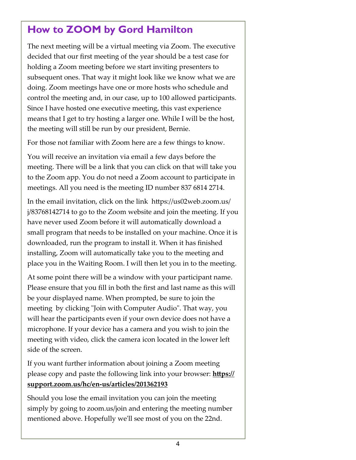### **How to ZOOM by Gord Hamilton**

The next meeting will be a virtual meeting via Zoom. The executive decided that our first meeting of the year should be a test case for holding a Zoom meeting before we start inviting presenters to subsequent ones. That way it might look like we know what we are doing. Zoom meetings have one or more hosts who schedule and control the meeting and, in our case, up to 100 allowed participants. Since I have hosted one executive meeting, this vast experience means that I get to try hosting a larger one. While I will be the host, the meeting will still be run by our president, Bernie.

For those not familiar with Zoom here are a few things to know.

You will receive an invitation via email a few days before the meeting. There will be a link that you can click on that will take you to the Zoom app. You do not need a Zoom account to participate in meetings. All you need is the meeting ID number 837 6814 2714.

In the email invitation, click on the link https://us02web.zoom.us/ j/83768142714 to go to the Zoom website and join the meeting. If you have never used Zoom before it will automatically download a small program that needs to be installed on your machine. Once it is downloaded, run the program to install it. When it has finished installing, Zoom will automatically take you to the meeting and place you in the Waiting Room. I will then let you in to the meeting.

At some point there will be a window with your participant name. Please ensure that you fill in both the first and last name as this will be your displayed name. When prompted, be sure to join the meeting by clicking "Join with Computer Audio". That way, you will hear the participants even if your own device does not have a microphone. If your device has a camera and you wish to join the meeting with video, click the camera icon located in the lower left side of the screen.

If you want further information about joining a Zoom meeting please copy and paste the following link into your browser: **https:// support.zoom.us/hc/en‐us/articles/201362193** 

Should you lose the email invitation you can join the meeting simply by going to zoom.us/join and entering the meeting number mentioned above. Hopefully weʹll see most of you on the 22nd.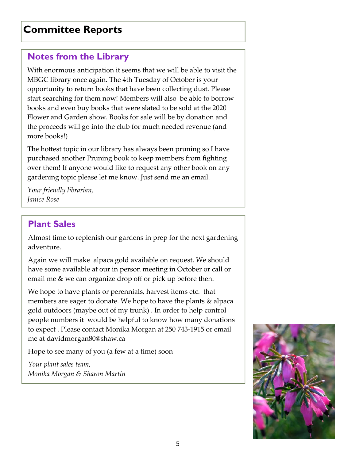#### **Committee Reports**

#### **Notes from the Library**

With enormous anticipation it seems that we will be able to visit the MBGC library once again. The 4th Tuesday of October is your opportunity to return books that have been collecting dust. Please start searching for them now! Members will also be able to borrow books and even buy books that were slated to be sold at the 2020 Flower and Garden show. Books for sale will be by donation and the proceeds will go into the club for much needed revenue (and more books!)

The hottest topic in our library has always been pruning so I have purchased another Pruning book to keep members from fighting over them! If anyone would like to request any other book on any gardening topic please let me know. Just send me an email.

*Your friendly librarian, Janice Rose* 

#### **Plant Sales**

Almost time to replenish our gardens in prep for the next gardening adventure.

Again we will make alpaca gold available on request. We should have some available at our in person meeting in October or call or email me & we can organize drop off or pick up before then.

We hope to have plants or perennials, harvest items etc. that members are eager to donate. We hope to have the plants & alpaca gold outdoors (maybe out of my trunk) . In order to help control people numbers it would be helpful to know how many donations to expect . Please contact Monika Morgan at 250 743‐1915 or email me at davidmorgan80@shaw.ca

Hope to see many of you (a few at a time) soon

*Your plant sales team, Monika Morgan & Sharon Martin* 

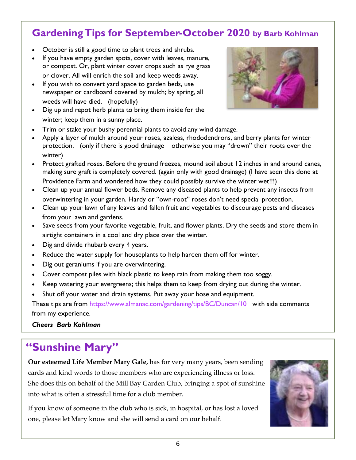#### **Gardening Tips for September-October 2020 by Barb Kohlman**

- October is still a good time to plant trees and shrubs.
- If you have empty garden spots, cover with leaves, manure, or compost. Or, plant winter cover crops such as rye grass or clover. All will enrich the soil and keep weeds away.
- If you wish to convert yard space to garden beds, use newspaper or cardboard covered by mulch; by spring, all weeds will have died. (hopefully)
- Dig up and repot herb plants to bring them inside for the winter; keep them in a sunny place.



- Trim or stake your bushy perennial plants to avoid any wind damage.
- Apply a layer of mulch around your roses, azaleas, rhododendrons, and berry plants for winter protection. (only if there is good drainage – otherwise you may "drown" their roots over the winter)
- Protect grafted roses. Before the ground freezes, mound soil about 12 inches in and around canes, making sure graft is completely covered. (again only with good drainage) (I have seen this done at Providence Farm and wondered how they could possibly survive the winter wet!!!)
- Clean up your annual flower beds. Remove any diseased plants to help prevent any insects from overwintering in your garden. Hardy or "own-root" roses don't need special protection.
- Clean up your lawn of any leaves and fallen fruit and vegetables to discourage pests and diseases from your lawn and gardens.
- Save seeds from your favorite vegetable, fruit, and flower plants. Dry the seeds and store them in airtight containers in a cool and dry place over the winter.
- Dig and divide rhubarb every 4 years.
- Reduce the water supply for houseplants to help harden them off for winter.
- Dig out geraniums if you are overwintering.
- Cover compost piles with black plastic to keep rain from making them too soggy.
- Keep watering your evergreens; this helps them to keep from drying out during the winter.
- Shut off your water and drain systems. Put away your hose and equipment.

These tips are from https://www.almanac.com/gardening/tips/BC/Duncan/10 with side comments from my experience.

*Cheers Barb Kohlman* 

## **"Sunshine Mary"**

**Our esteemed Life Member Mary Gale,** has for very many years, been sending cards and kind words to those members who are experiencing illness or loss. She does this on behalf of the Mill Bay Garden Club, bringing a spot of sunshine into what is often a stressful time for a club member.

If you know of someone in the club who is sick, in hospital, or has lost a loved one, please let Mary know and she will send a card on our behalf.

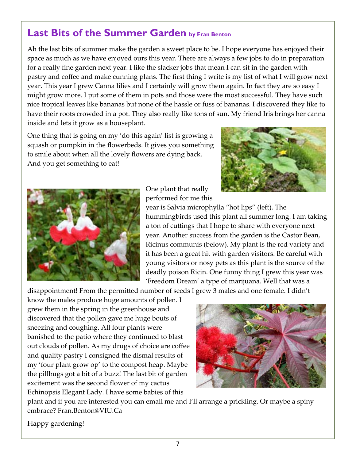#### **Last Bits of the Summer Garden by Fran Benton**

Ah the last bits of summer make the garden a sweet place to be. I hope everyone has enjoyed their space as much as we have enjoyed ours this year. There are always a few jobs to do in preparation for a really fine garden next year. I like the slacker jobs that mean I can sit in the garden with pastry and coffee and make cunning plans. The first thing I write is my list of what I will grow next year. This year I grew Canna lilies and I certainly will grow them again. In fact they are so easy I might grow more. I put some of them in pots and those were the most successful. They have such nice tropical leaves like bananas but none of the hassle or fuss of bananas. I discovered they like to have their roots crowded in a pot. They also really like tons of sun. My friend Iris brings her canna inside and lets it grow as a houseplant.

One thing that is going on my 'do this again' list is growing a squash or pumpkin in the flowerbeds. It gives you something to smile about when all the lovely flowers are dying back. And you get something to eat!





One plant that really performed for me this

year is Salvia microphylla "hot lips" (left). The hummingbirds used this plant all summer long. I am taking a ton of cuttings that I hope to share with everyone next year. Another success from the garden is the Castor Bean, Ricinus communis (below). My plant is the red variety and it has been a great hit with garden visitors. Be careful with young visitors or nosy pets as this plant is the source of the deadly poison Ricin. One funny thing I grew this year was 'Freedom Dream' a type of marijuana. Well that was a

disappointment! From the permitted number of seeds I grew 3 males and one female. I didn't

know the males produce huge amounts of pollen. I grew them in the spring in the greenhouse and discovered that the pollen gave me huge bouts of sneezing and coughing. All four plants were banished to the patio where they continued to blast out clouds of pollen. As my drugs of choice are coffee and quality pastry I consigned the dismal results of my 'four plant grow op' to the compost heap. Maybe the pillbugs got a bit of a buzz! The last bit of garden excitement was the second flower of my cactus Echinopsis Elegant Lady. I have some babies of this



plant and if you are interested you can email me and I'll arrange a prickling. Or maybe a spiny embrace? Fran.Benton@VIU.Ca

Happy gardening!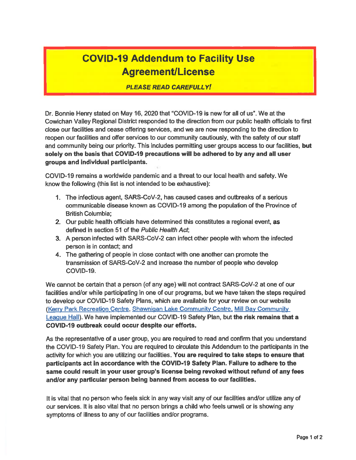### **COVID-19 Addendum to Facility Use Agreement/License**

#### **PLEASE READ CAREFULLY!**

Dr. Bonnie Henry stated on May 16, 2020 that "COVID-19 is new for all of us". We at the Cowichan Valley Regional District responded to the direction from our public health officials to first close our facilities and cease offering services, and we are now responding to the direction to reopen our facilities and offer services to our community cautiously, with the safety of our staff and community being our priority. This includes permitting user groups access to our facilities, but solely on the basis that COVID-19 precautions will be adhered to by any and all user groups and individual participants.

COVID-19 remains a worldwide pandemic and a threat to our local health and safety. We know the following (this list is not intended to be exhaustive):

- 1. The infectious agent, SARS-CoV-2, has caused cases and outbreaks of a serious communicable disease known as COVID-19 among the population of the Province of **British Columbia:**
- 2. Our public health officials have determined this constitutes a regional event, as defined in section 51 of the Public Health Act;
- 3. A person infected with SARS-CoV-2 can infect other people with whom the infected person is in contact; and
- 4. The gathering of people in close contact with one another can promote the transmission of SARS-CoV-2 and increase the number of people who develop COVID-19.

We cannot be certain that a person (of any age) will not contract SARS-CoV-2 at one of our facilities and/or while participating in one of our programs, but we have taken the steps required to develop our COVID-19 Safety Plans, which are available for your review on our website (Kerry Park Recreation Centre, Shawnigan Lake Community Centre, Mill Bay Community League Hall). We have implemented our COVID-19 Safety Plan, but the risk remains that a COVID-19 outbreak could occur despite our efforts.

As the representative of a user group, you are required to read and confirm that you understand the COVID-19 Safety Plan. You are required to circulate this Addendum to the participants in the activity for which you are utilizing our facilities. You are required to take steps to ensure that participants act in accordance with the COVID-19 Safety Plan. Failure to adhere to the same could result in your user group's license being revoked without refund of any fees and/or any particular person being banned from access to our facilities.

It is vital that no person who feels sick in any way visit any of our facilities and/or utilize any of our services. It is also vital that no person brings a child who feels unwell or is showing any symptoms of illness to any of our facilities and/or programs.